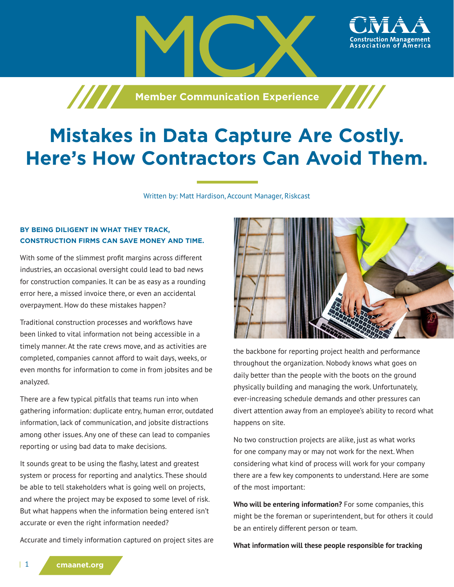

## **Mistakes in Data Capture Are Costly. Here's How Contractors Can Avoid Them.**

Written by: Matt Hardison, Account Manager, Riskcast

## **BY BEING DILIGENT IN WHAT THEY TRACK, CONSTRUCTION FIRMS CAN SAVE MONEY AND TIME.**

With some of the slimmest profit margins across different industries, an occasional oversight could lead to bad news for construction companies. It can be as easy as a rounding error here, a missed invoice there, or even an accidental overpayment. How do these mistakes happen?

Traditional construction processes and workflows have been linked to vital information not being accessible in a timely manner. At the rate crews move, and as activities are completed, companies cannot afford to wait days, weeks, or even months for information to come in from jobsites and be analyzed.

There are a few typical pitfalls that teams run into when gathering information: duplicate entry, human error, outdated information, lack of communication, and jobsite distractions among other issues. Any one of these can lead to companies reporting or using bad data to make decisions.

It sounds great to be using the flashy, latest and greatest system or process for reporting and analytics. These should be able to tell stakeholders what is going well on projects, and where the project may be exposed to some level of risk. But what happens when the information being entered isn't accurate or even the right information needed?

Accurate and timely information captured on project sites are



ssociation of America

the backbone for reporting project health and performance throughout the organization. Nobody knows what goes on daily better than the people with the boots on the ground physically building and managing the work. Unfortunately, ever-increasing schedule demands and other pressures can divert attention away from an employee's ability to record what happens on site.

No two construction projects are alike, just as what works for one company may or may not work for the next. When considering what kind of process will work for your company there are a few key components to understand. Here are some of the most important:

**Who will be entering information?** For some companies, this might be the foreman or superintendent, but for others it could be an entirely different person or team.

**What information will these people responsible for tracking**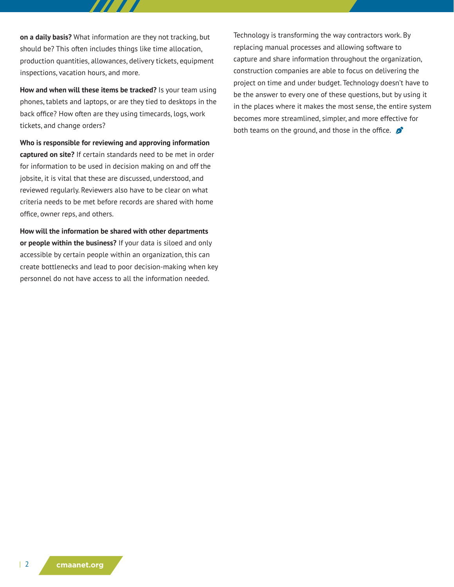**on a daily basis?** What information are they not tracking, but should be? This often includes things like time allocation, production quantities, allowances, delivery tickets, equipment inspections, vacation hours, and more.

**How and when will these items be tracked?** Is your team using phones, tablets and laptops, or are they tied to desktops in the back office? How often are they using timecards, logs, work tickets, and change orders?

**Who is responsible for reviewing and approving information captured on site?** If certain standards need to be met in order for information to be used in decision making on and off the jobsite, it is vital that these are discussed, understood, and reviewed regularly. Reviewers also have to be clear on what criteria needs to be met before records are shared with home office, owner reps, and others.

**How will the information be shared with other departments or people within the business?** If your data is siloed and only accessible by certain people within an organization, this can create bottlenecks and lead to poor decision-making when key personnel do not have access to all the information needed.

Technology is transforming the way contractors work. By replacing manual processes and allowing software to capture and share information throughout the organization, construction companies are able to focus on delivering the project on time and under budget. Technology doesn't have to be the answer to every one of these questions, but by using it in the places where it makes the most sense, the entire system becomes more streamlined, simpler, and more effective for both teams on the ground, and those in the office.  $\bullet$